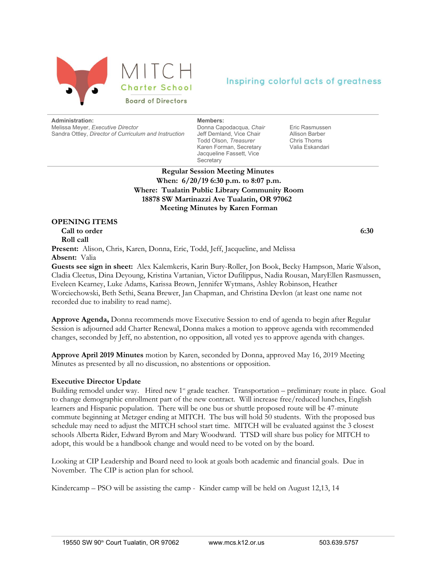

# Inspiring colorful acts of greatness

**Administration:**

Melissa Meyer, *Executive Director* Sandra Ottley, *Director of Curriculum and Instruction*

**Members:** Donna Capodacqua, *Chair* Jeff Demland, Vice Chair Todd Olson, *Treasurer* Karen Forman, Secretary Jacqueline Fassett, Vice

Eric Rasmussen Allison Barber Chris Thoms Valia Eskandari

**Regular Session Meeting Minutes When: 6/20/19 6:30 p.m. to 8:07 p.m. Where: Tualatin Public Library Community Room 18878 SW Martinazzi Ave Tualatin, OR 97062 Meeting Minutes by Karen Forman**

**Secretary** 

## **OPENING ITEMS**

 **Call to order 6:30 Roll call**

Present: Alison, Chris, Karen, Donna, Eric, Todd, Jeff, Jacqueline, and Melissa **Absent:** Valia

**Guests see sign in sheet:** Alex Kalemkeris, Karin Bury-Roller, Jon Book, Becky Hampson, Marie Walson, Cladia Cleetus, Dina Deyoung, Kristina Vartanian, Victor Dufilippus, Nadia Rousan, MaryEllen Rasmussen, Eveleen Kearney, Luke Adams, Karissa Brown, Jennifer Wytmans, Ashley Robinson, Heather Worciechowski, Beth Sethi, Seana Brewer, Jan Chapman, and Christina Devlon (at least one name not recorded due to inability to read name).

**Approve Agenda,** Donna recommends move Executive Session to end of agenda to begin after Regular Session is adjourned add Charter Renewal, Donna makes a motion to approve agenda with recommended changes, seconded by Jeff, no abstention, no opposition, all voted yes to approve agenda with changes.

**Approve April 2019 Minutes** motion by Karen, seconded by Donna, approved May 16, 2019 Meeting Minutes as presented by all no discussion, no abstentions or opposition.

# **Executive Director Update**

Building remodel under way. Hired new  $1<sup>st</sup>$  grade teacher. Transportation – preliminary route in place. Goal to change demographic enrollment part of the new contract. Will increase free/reduced lunches, English learners and Hispanic population. There will be one bus or shuttle proposed route will be 47-minute commute beginning at Metzger ending at MITCH. The bus will hold 50 students. With the proposed bus schedule may need to adjust the MITCH school start time. MITCH will be evaluated against the 3 closest schools Alberta Rider, Edward Byrom and Mary Woodward. TTSD will share bus policy for MITCH to adopt, this would be a handbook change and would need to be voted on by the board.

Looking at CIP Leadership and Board need to look at goals both academic and financial goals. Due in November. The CIP is action plan for school.

Kindercamp – PSO will be assisting the camp - Kinder camp will be held on August 12,13, 14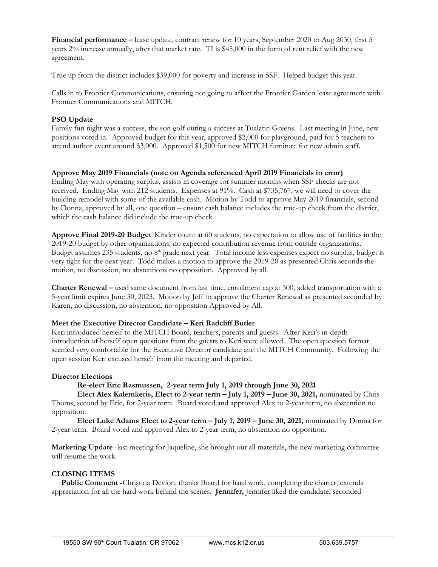**Financial performance –** lease update, contract renew for 10 years, September 2020 to Aug 2030, first 5 years 2% increase annually, after that market rate. TI is \$45,000 in the form of rent relief with the new agreement.

True up from the district includes \$39,000 for poverty and increase in SSF. Helped budget this year.

Calls in to Frontier Communications, ensuring not going to affect the Frontier Garden lease agreement with Frontier Communications and MITCH.

### **PSO Update**

Family fun night was a success, the son golf outing a success at Tualatin Greens. Last meeting in June, new positions voted in. Approved budget for this year, approved \$2,000 for playground, paid for 5 teachers to attend author event around \$3,000. Approved \$1,500 for new MITCH furniture for new admin staff.

#### **Approve May 2019 Financials (note on Agenda referenced April 2019 Financials in error)**

Ending May with operating surplus, assists in coverage for summer months when SSF checks are not received. Ending May with 212 students. Expenses at 91%. Cash at \$735,767, we will need to cover the building remodel with some of the available cash. Motion by Todd to approve May 2019 financials, second by Donna, approved by all, one question – ensure cash balance includes the true-up check from the district, which the cash balance did include the true-up check.

**Approve Final 2019-20 Budget** Kinder count at 60 students, no expectation to allow use of facilities in the 2019-20 budget by other organizations, no expected contribution revenue from outside organizations. Budget assumes 235 students, no 8<sup>th</sup> grade next year. Total income less expenses expect no surplus, budget is very tight for the next year. Todd makes a motion to approve the 2019-20 as presented Chris seconds the motion, no discussion, no abstentions no opposition. Approved by all.

**Charter Renewal –** used same document from last time, enrollment cap at 300, added transportation with a 5-year limit expires June 30, 2023. Motion by Jeff to approve the Charter Renewal as presented seconded by Karen, no discussion, no abstention, no opposition Approved by All.

#### **Meet the Executive Director Candidate – Keri Radcliff Butler**

Keri introduced herself to the MITCH Board, teachers, parents and guests. After Keri's in-depth introduction of herself open questions from the guests to Keri were allowed. The open question format seemed very comfortable for the Executive Director candidate and the MITCH Community. Following the open session Keri excused herself from the meeting and departed.

#### **Director Elections**

#### **Re-elect Eric Rasmussen, 2-year term July 1, 2019 through June 30, 2021**

**Elect Alex Kalemkeris, Elect to 2-year term – July 1, 2019 – June 30, 2021,** nominated by Chris Thoms, second by Eric, for 2-year term. Board voted and approved Alex to 2-year term, no abstention no opposition.

**Elect Luke Adams Elect to 2-year term – July 1, 2019 – June 30, 2021,** nominated by Donna for 2-year term. Board voted and approved Alex to 2-year term, no abstention no opposition.

**Marketing Update** -last meeting for Jaqueline, she brought out all materials, the new marketing committee will resume the work.

#### **CLOSING ITEMS**

 **Public Comment -**Christina Devlon, thanks Board for hard work, completing the charter, extends appreciation for all the hard work behind the scenes. **Jennifer,** Jennifer liked the candidate, seconded